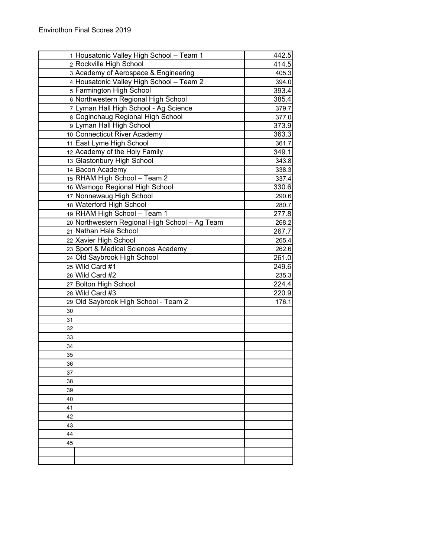|          | 1 Housatonic Valley High School - Team 1       | 442.5 |
|----------|------------------------------------------------|-------|
|          | 2 Rockville High School                        | 414.5 |
|          | 3 Academy of Aerospace & Engineering           | 405.3 |
|          | 4 Housatonic Valley High School - Team 2       | 394.0 |
|          | 5 Farmington High School                       | 393.4 |
|          | 6 Northwestern Regional High School            | 385.4 |
|          | 7 Lyman Hall High School - Ag Science          | 379.7 |
|          | 8 Coginchaug Regional High School              | 377.0 |
|          | 9 Lyman Hall High School                       | 373.9 |
|          | 10 Connecticut River Academy                   | 363.3 |
|          | 11 East Lyme High School                       | 361.7 |
|          | 12 Academy of the Holy Family                  | 349.1 |
|          | 13 Glastonbury High School                     | 343.8 |
|          | 14 Bacon Academy                               | 338.3 |
|          | 15 RHAM High School - Team 2                   | 337.4 |
|          | 16 Wamogo Regional High School                 | 330.6 |
|          | 17 Nonnewaug High School                       | 290.6 |
|          | 18 Waterford High School                       | 280.7 |
|          | 19 RHAM High School - Team 1                   | 277.8 |
|          | 20 Northwestern Regional High School - Ag Team | 268.2 |
|          | 21 Nathan Hale School                          | 267.7 |
|          | 22 Xavier High School                          | 265.4 |
|          | 23 Sport & Medical Sciences Academy            | 262.6 |
|          | 24 Old Saybrook High School                    | 261.0 |
|          | 25 Wild Card #1                                | 249.6 |
|          | 26 Wild Card #2                                | 235.3 |
|          | 27 Bolton High School                          | 224.4 |
|          | 28 Wild Card #3                                | 220.9 |
|          | 29 Old Saybrook High School - Team 2           | 176.1 |
| 30       |                                                |       |
| 31       |                                                |       |
| 32       |                                                |       |
| 33       |                                                |       |
| 34<br>35 |                                                |       |
| 36       |                                                |       |
| 37       |                                                |       |
| 38       |                                                |       |
| 39       |                                                |       |
| 40       |                                                |       |
| 41       |                                                |       |
| 42       |                                                |       |
| 43       |                                                |       |
| 44       |                                                |       |
| 45       |                                                |       |
|          |                                                |       |
|          |                                                |       |